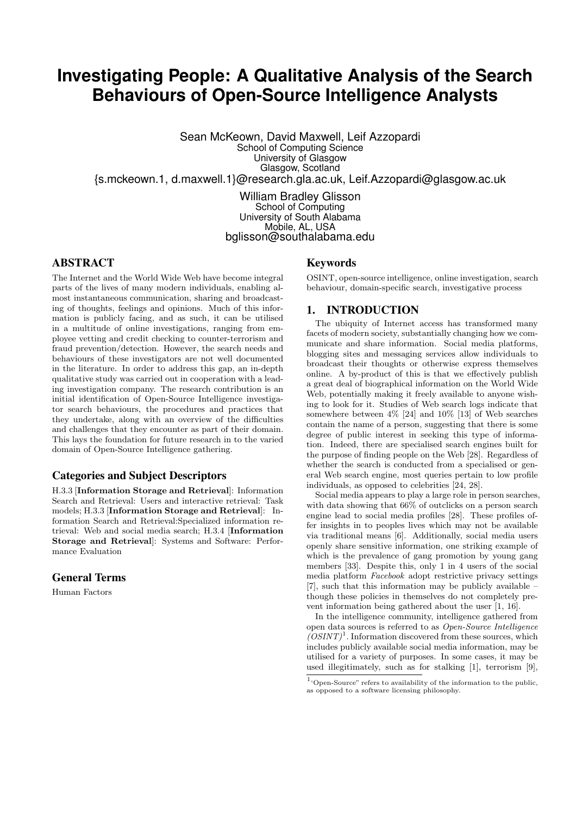# **Investigating People: A Qualitative Analysis of the Search Behaviours of Open-Source Intelligence Analysts**

Sean McKeown, David Maxwell, Leif Azzopardi School of Computing Science University of Glasgow Glasgow, Scotland {s.mckeown.1, d.maxwell.1}@research.gla.ac.uk, Leif.Azzopardi@glasgow.ac.uk

> William Bradley Glisson School of Computing

University of South Alabama Mobile, AL, USA bglisson@southalabama.edu

## ABSTRACT

The Internet and the World Wide Web have become integral parts of the lives of many modern individuals, enabling almost instantaneous communication, sharing and broadcasting of thoughts, feelings and opinions. Much of this information is publicly facing, and as such, it can be utilised in a multitude of online investigations, ranging from employee vetting and credit checking to counter-terrorism and fraud prevention/detection. However, the search needs and behaviours of these investigators are not well documented in the literature. In order to address this gap, an in-depth qualitative study was carried out in cooperation with a leading investigation company. The research contribution is an initial identification of Open-Source Intelligence investigator search behaviours, the procedures and practices that they undertake, along with an overview of the difficulties and challenges that they encounter as part of their domain. This lays the foundation for future research in to the varied domain of Open-Source Intelligence gathering.

## Categories and Subject Descriptors

H.3.3 [Information Storage and Retrieval]: Information Search and Retrieval: Users and interactive retrieval: Task models; H.3.3 [Information Storage and Retrieval]: Information Search and Retrieval:Specialized information retrieval: Web and social media search; H.3.4 [Information Storage and Retrieval]: Systems and Software: Performance Evaluation

## General Terms

Human Factors

### Keywords

OSINT, open-source intelligence, online investigation, search behaviour, domain-specific search, investigative process

#### 1. INTRODUCTION

The ubiquity of Internet access has transformed many facets of modern society, substantially changing how we communicate and share information. Social media platforms, blogging sites and messaging services allow individuals to broadcast their thoughts or otherwise express themselves online. A by-product of this is that we effectively publish a great deal of biographical information on the World Wide Web, potentially making it freely available to anyone wishing to look for it. Studies of Web search logs indicate that somewhere between 4% [24] and 10% [13] of Web searches contain the name of a person, suggesting that there is some degree of public interest in seeking this type of information. Indeed, there are specialised search engines built for the purpose of finding people on the Web [28]. Regardless of whether the search is conducted from a specialised or general Web search engine, most queries pertain to low profile individuals, as opposed to celebrities [24, 28].

Social media appears to play a large role in person searches, with data showing that 66% of outclicks on a person search engine lead to social media profiles [28]. These profiles offer insights in to peoples lives which may not be available via traditional means [6]. Additionally, social media users openly share sensitive information, one striking example of which is the prevalence of gang promotion by young gang members [33]. Despite this, only 1 in 4 users of the social media platform *Facebook* adopt restrictive privacy settings [7], such that this information may be publicly available – though these policies in themselves do not completely prevent information being gathered about the user [1, 16].

In the intelligence community, intelligence gathered from open data sources is referred to as *Open-Source Intelligence*  $(OSINT)^1$ . Information discovered from these sources, which includes publicly available social media information, may be utilised for a variety of purposes. In some cases, it may be used illegitimately, such as for stalking [1], terrorism [9],

 $\prescript{1}{\cdot}{\text{Open-Source}}$  refers to availability of the information to the public, as opposed to a software licensing philosophy.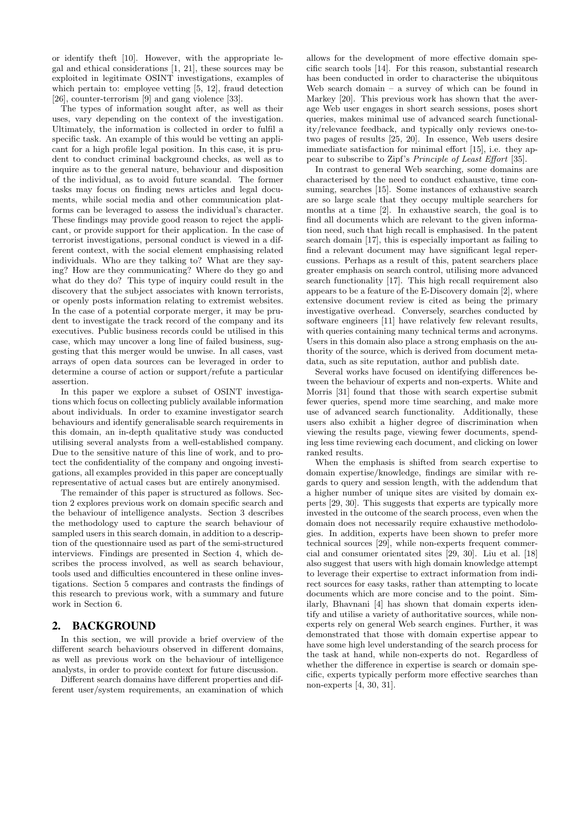or identify theft [10]. However, with the appropriate legal and ethical considerations [1, 21], these sources may be exploited in legitimate OSINT investigations, examples of which pertain to: employee vetting [5, 12], fraud detection [26], counter-terrorism [9] and gang violence [33].

The types of information sought after, as well as their uses, vary depending on the context of the investigation. Ultimately, the information is collected in order to fulfil a specific task. An example of this would be vetting an applicant for a high profile legal position. In this case, it is prudent to conduct criminal background checks, as well as to inquire as to the general nature, behaviour and disposition of the individual, as to avoid future scandal. The former tasks may focus on finding news articles and legal documents, while social media and other communication platforms can be leveraged to assess the individual's character. These findings may provide good reason to reject the applicant, or provide support for their application. In the case of terrorist investigations, personal conduct is viewed in a different context, with the social element emphasising related individuals. Who are they talking to? What are they saying? How are they communicating? Where do they go and what do they do? This type of inquiry could result in the discovery that the subject associates with known terrorists, or openly posts information relating to extremist websites. In the case of a potential corporate merger, it may be prudent to investigate the track record of the company and its executives. Public business records could be utilised in this case, which may uncover a long line of failed business, suggesting that this merger would be unwise. In all cases, vast arrays of open data sources can be leveraged in order to determine a course of action or support/refute a particular assertion.

In this paper we explore a subset of OSINT investigations which focus on collecting publicly available information about individuals. In order to examine investigator search behaviours and identify generalisable search requirements in this domain, an in-depth qualitative study was conducted utilising several analysts from a well-established company. Due to the sensitive nature of this line of work, and to protect the confidentiality of the company and ongoing investigations, all examples provided in this paper are conceptually representative of actual cases but are entirely anonymised.

The remainder of this paper is structured as follows. Section 2 explores previous work on domain specific search and the behaviour of intelligence analysts. Section 3 describes the methodology used to capture the search behaviour of sampled users in this search domain, in addition to a description of the questionnaire used as part of the semi-structured interviews. Findings are presented in Section 4, which describes the process involved, as well as search behaviour, tools used and difficulties encountered in these online investigations. Section 5 compares and contrasts the findings of this research to previous work, with a summary and future work in Section 6.

## 2. BACKGROUND

In this section, we will provide a brief overview of the different search behaviours observed in different domains, as well as previous work on the behaviour of intelligence analysts, in order to provide context for future discussion.

Different search domains have different properties and different user/system requirements, an examination of which allows for the development of more effective domain specific search tools [14]. For this reason, substantial research has been conducted in order to characterise the ubiquitous Web search domain – a survey of which can be found in Markey [20]. This previous work has shown that the average Web user engages in short search sessions, poses short queries, makes minimal use of advanced search functionality/relevance feedback, and typically only reviews one-totwo pages of results [25, 20]. In essence, Web users desire immediate satisfaction for minimal effort  $[15]$ , i.e. they appear to subscribe to Zipf's *Principle of Least Effort* [35].

In contrast to general Web searching, some domains are characterised by the need to conduct exhaustive, time consuming, searches [15]. Some instances of exhaustive search are so large scale that they occupy multiple searchers for months at a time [2]. In exhaustive search, the goal is to find all documents which are relevant to the given information need, such that high recall is emphasised. In the patent search domain [17], this is especially important as failing to find a relevant document may have significant legal repercussions. Perhaps as a result of this, patent searchers place greater emphasis on search control, utilising more advanced search functionality [17]. This high recall requirement also appears to be a feature of the E-Discovery domain [2], where extensive document review is cited as being the primary investigative overhead. Conversely, searches conducted by software engineers [11] have relatively few relevant results, with queries containing many technical terms and acronyms. Users in this domain also place a strong emphasis on the authority of the source, which is derived from document metadata, such as site reputation, author and publish date.

Several works have focused on identifying differences between the behaviour of experts and non-experts. White and Morris [31] found that those with search expertise submit fewer queries, spend more time searching, and make more use of advanced search functionality. Additionally, these users also exhibit a higher degree of discrimination when viewing the results page, viewing fewer documents, spending less time reviewing each document, and clicking on lower ranked results.

When the emphasis is shifted from search expertise to domain expertise/knowledge, findings are similar with regards to query and session length, with the addendum that a higher number of unique sites are visited by domain experts [29, 30]. This suggests that experts are typically more invested in the outcome of the search process, even when the domain does not necessarily require exhaustive methodologies. In addition, experts have been shown to prefer more technical sources [29], while non-experts frequent commercial and consumer orientated sites [29, 30]. Liu et al. [18] also suggest that users with high domain knowledge attempt to leverage their expertise to extract information from indirect sources for easy tasks, rather than attempting to locate documents which are more concise and to the point. Similarly, Bhavnani [4] has shown that domain experts identify and utilise a variety of authoritative sources, while nonexperts rely on general Web search engines. Further, it was demonstrated that those with domain expertise appear to have some high level understanding of the search process for the task at hand, while non-experts do not. Regardless of whether the difference in expertise is search or domain specific, experts typically perform more effective searches than non-experts [4, 30, 31].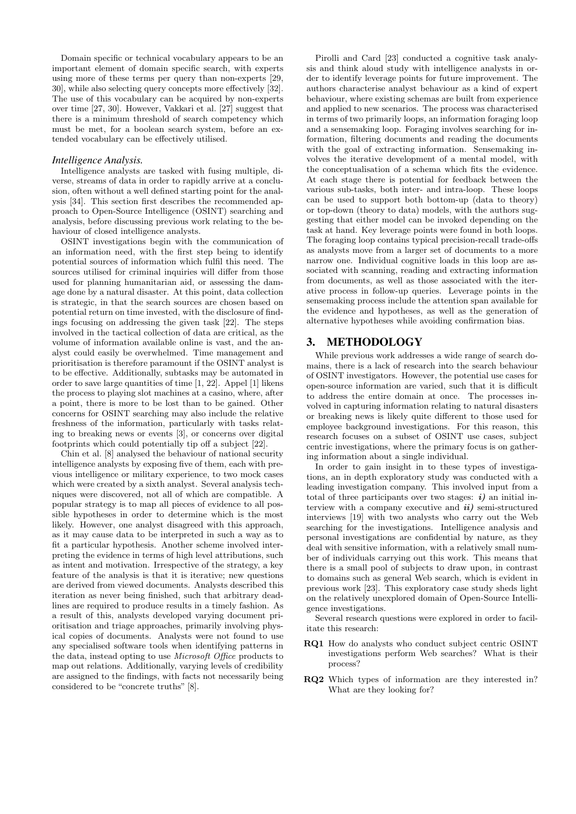Domain specific or technical vocabulary appears to be an important element of domain specific search, with experts using more of these terms per query than non-experts [29, 30], while also selecting query concepts more effectively [32]. The use of this vocabulary can be acquired by non-experts over time [27, 30]. However, Vakkari et al. [27] suggest that there is a minimum threshold of search competency which must be met, for a boolean search system, before an extended vocabulary can be effectively utilised.

#### *Intelligence Analysis.*

Intelligence analysts are tasked with fusing multiple, diverse, streams of data in order to rapidly arrive at a conclusion, often without a well defined starting point for the analysis [34]. This section first describes the recommended approach to Open-Source Intelligence (OSINT) searching and analysis, before discussing previous work relating to the behaviour of closed intelligence analysts.

OSINT investigations begin with the communication of an information need, with the first step being to identify potential sources of information which fulfil this need. The sources utilised for criminal inquiries will differ from those used for planning humanitarian aid, or assessing the damage done by a natural disaster. At this point, data collection is strategic, in that the search sources are chosen based on potential return on time invested, with the disclosure of findings focusing on addressing the given task [22]. The steps involved in the tactical collection of data are critical, as the volume of information available online is vast, and the analyst could easily be overwhelmed. Time management and prioritisation is therefore paramount if the OSINT analyst is to be effective. Additionally, subtasks may be automated in order to save large quantities of time [1, 22]. Appel [1] likens the process to playing slot machines at a casino, where, after a point, there is more to be lost than to be gained. Other concerns for OSINT searching may also include the relative freshness of the information, particularly with tasks relating to breaking news or events [3], or concerns over digital footprints which could potentially tip off a subject  $[22]$ .

Chin et al. [8] analysed the behaviour of national security intelligence analysts by exposing five of them, each with previous intelligence or military experience, to two mock cases which were created by a sixth analyst. Several analysis techniques were discovered, not all of which are compatible. A popular strategy is to map all pieces of evidence to all possible hypotheses in order to determine which is the most likely. However, one analyst disagreed with this approach, as it may cause data to be interpreted in such a way as to fit a particular hypothesis. Another scheme involved interpreting the evidence in terms of high level attributions, such as intent and motivation. Irrespective of the strategy, a key feature of the analysis is that it is iterative; new questions are derived from viewed documents. Analysts described this iteration as never being finished, such that arbitrary deadlines are required to produce results in a timely fashion. As a result of this, analysts developed varying document prioritisation and triage approaches, primarily involving physical copies of documents. Analysts were not found to use any specialised software tools when identifying patterns in the data, instead opting to use *Microsoft Office* products to map out relations. Additionally, varying levels of credibility are assigned to the findings, with facts not necessarily being considered to be "concrete truths" [8].

Pirolli and Card [23] conducted a cognitive task analysis and think aloud study with intelligence analysts in order to identify leverage points for future improvement. The authors characterise analyst behaviour as a kind of expert behaviour, where existing schemas are built from experience and applied to new scenarios. The process was characterised in terms of two primarily loops, an information foraging loop and a sensemaking loop. Foraging involves searching for information, filtering documents and reading the documents with the goal of extracting information. Sensemaking involves the iterative development of a mental model, with the conceptualisation of a schema which fits the evidence. At each stage there is potential for feedback between the various sub-tasks, both inter- and intra-loop. These loops can be used to support both bottom-up (data to theory) or top-down (theory to data) models, with the authors suggesting that either model can be invoked depending on the task at hand. Key leverage points were found in both loops. The foraging loop contains typical precision-recall trade-offs as analysts move from a larger set of documents to a more narrow one. Individual cognitive loads in this loop are associated with scanning, reading and extracting information from documents, as well as those associated with the iterative process in follow-up queries. Leverage points in the sensemaking process include the attention span available for the evidence and hypotheses, as well as the generation of alternative hypotheses while avoiding confirmation bias.

#### 3. METHODOLOGY

While previous work addresses a wide range of search domains, there is a lack of research into the search behaviour of OSINT investigators. However, the potential use cases for open-source information are varied, such that it is difficult to address the entire domain at once. The processes involved in capturing information relating to natural disasters or breaking news is likely quite different to those used for employee background investigations. For this reason, this research focuses on a subset of OSINT use cases, subject centric investigations, where the primary focus is on gathering information about a single individual.

In order to gain insight in to these types of investigations, an in depth exploratory study was conducted with a leading investigation company. This involved input from a total of three participants over two stages: *i)* an initial interview with a company executive and *ii)* semi-structured interviews [19] with two analysts who carry out the Web searching for the investigations. Intelligence analysis and personal investigations are confidential by nature, as they deal with sensitive information, with a relatively small number of individuals carrying out this work. This means that there is a small pool of subjects to draw upon, in contrast to domains such as general Web search, which is evident in previous work [23]. This exploratory case study sheds light on the relatively unexplored domain of Open-Source Intelligence investigations.

Several research questions were explored in order to facilitate this research:

- RQ1 How do analysts who conduct subject centric OSINT investigations perform Web searches? What is their process?
- RQ2 Which types of information are they interested in? What are they looking for?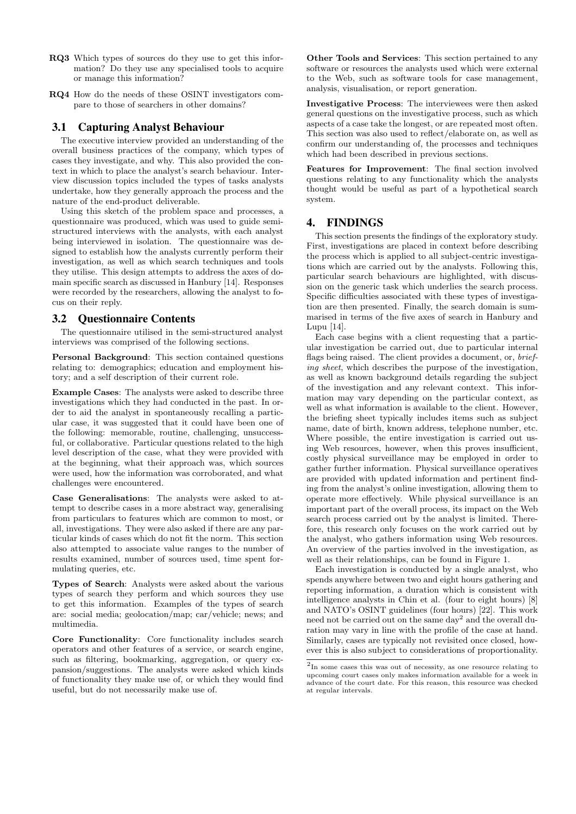- RQ3 Which types of sources do they use to get this information? Do they use any specialised tools to acquire or manage this information?
- RQ4 How do the needs of these OSINT investigators compare to those of searchers in other domains?

## 3.1 Capturing Analyst Behaviour

The executive interview provided an understanding of the overall business practices of the company, which types of cases they investigate, and why. This also provided the context in which to place the analyst's search behaviour. Interview discussion topics included the types of tasks analysts undertake, how they generally approach the process and the nature of the end-product deliverable.

Using this sketch of the problem space and processes, a questionnaire was produced, which was used to guide semistructured interviews with the analysts, with each analyst being interviewed in isolation. The questionnaire was designed to establish how the analysts currently perform their investigation, as well as which search techniques and tools they utilise. This design attempts to address the axes of domain specific search as discussed in Hanbury [14]. Responses were recorded by the researchers, allowing the analyst to focus on their reply.

#### 3.2 Questionnaire Contents

The questionnaire utilised in the semi-structured analyst interviews was comprised of the following sections.

Personal Background: This section contained questions relating to: demographics; education and employment history; and a self description of their current role.

Example Cases: The analysts were asked to describe three investigations which they had conducted in the past. In order to aid the analyst in spontaneously recalling a particular case, it was suggested that it could have been one of the following: memorable, routine, challenging, unsuccessful, or collaborative. Particular questions related to the high level description of the case, what they were provided with at the beginning, what their approach was, which sources were used, how the information was corroborated, and what challenges were encountered.

Case Generalisations: The analysts were asked to attempt to describe cases in a more abstract way, generalising from particulars to features which are common to most, or all, investigations. They were also asked if there are any particular kinds of cases which do not fit the norm. This section also attempted to associate value ranges to the number of results examined, number of sources used, time spent formulating queries, etc.

Types of Search: Analysts were asked about the various types of search they perform and which sources they use to get this information. Examples of the types of search are: social media; geolocation/map; car/vehicle; news; and multimedia.

Core Functionality: Core functionality includes search operators and other features of a service, or search engine, such as filtering, bookmarking, aggregation, or query expansion/suggestions. The analysts were asked which kinds of functionality they make use of, or which they would find useful, but do not necessarily make use of.

Other Tools and Services: This section pertained to any software or resources the analysts used which were external to the Web, such as software tools for case management, analysis, visualisation, or report generation.

Investigative Process: The interviewees were then asked general questions on the investigative process, such as which aspects of a case take the longest, or are repeated most often. This section was also used to reflect/elaborate on, as well as confirm our understanding of, the processes and techniques which had been described in previous sections.

Features for Improvement: The final section involved questions relating to any functionality which the analysts thought would be useful as part of a hypothetical search system.

#### 4. FINDINGS

This section presents the findings of the exploratory study. First, investigations are placed in context before describing the process which is applied to all subject-centric investigations which are carried out by the analysts. Following this, particular search behaviours are highlighted, with discussion on the generic task which underlies the search process. Specific difficulties associated with these types of investigation are then presented. Finally, the search domain is summarised in terms of the five axes of search in Hanbury and Lupu [14].

Each case begins with a client requesting that a particular investigation be carried out, due to particular internal flags being raised. The client provides a document, or, *briefing sheet*, which describes the purpose of the investigation, as well as known background details regarding the subject of the investigation and any relevant context. This information may vary depending on the particular context, as well as what information is available to the client. However, the briefing sheet typically includes items such as subject name, date of birth, known address, telephone number, etc. Where possible, the entire investigation is carried out using Web resources, however, when this proves insufficient. costly physical surveillance may be employed in order to gather further information. Physical surveillance operatives are provided with updated information and pertinent finding from the analyst's online investigation, allowing them to operate more effectively. While physical surveillance is an important part of the overall process, its impact on the Web search process carried out by the analyst is limited. Therefore, this research only focuses on the work carried out by the analyst, who gathers information using Web resources. An overview of the parties involved in the investigation, as well as their relationships, can be found in Figure 1.

Each investigation is conducted by a single analyst, who spends anywhere between two and eight hours gathering and reporting information, a duration which is consistent with intelligence analysts in Chin et al. (four to eight hours) [8] and NATO's OSINT guidelines (four hours) [22]. This work need not be carried out on the same day<sup>2</sup> and the overall duration may vary in line with the profile of the case at hand. Similarly, cases are typically not revisited once closed, however this is also subject to considerations of proportionality.

 $^2{\rm In}$  some cases this was out of necessity, as one resource relating to upcoming court cases only makes information available for a week in advance of the court date. For this reason, this resource was checked at regular intervals.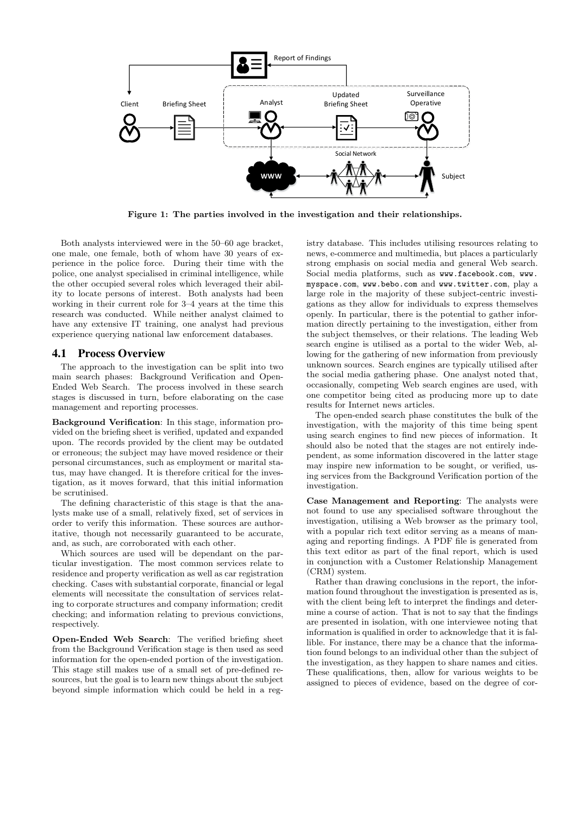

Figure 1: The parties involved in the investigation and their relationships.

Both analysts interviewed were in the 50–60 age bracket, one male, one female, both of whom have 30 years of experience in the police force. During their time with the police, one analyst specialised in criminal intelligence, while the other occupied several roles which leveraged their ability to locate persons of interest. Both analysts had been working in their current role for 3–4 years at the time this research was conducted. While neither analyst claimed to have any extensive IT training, one analyst had previous experience querying national law enforcement databases.

#### 4.1 Process Overview

The approach to the investigation can be split into two main search phases: Background Verification and Open-Ended Web Search. The process involved in these search stages is discussed in turn, before elaborating on the case management and reporting processes.

Background Verification: In this stage, information provided on the briefing sheet is verified, updated and expanded upon. The records provided by the client may be outdated or erroneous; the subject may have moved residence or their personal circumstances, such as employment or marital status, may have changed. It is therefore critical for the investigation, as it moves forward, that this initial information be scrutinised.

The defining characteristic of this stage is that the analysts make use of a small, relatively fixed, set of services in order to verify this information. These sources are authoritative, though not necessarily guaranteed to be accurate, and, as such, are corroborated with each other.

Which sources are used will be dependant on the particular investigation. The most common services relate to residence and property verification as well as car registration checking. Cases with substantial corporate, financial or legal elements will necessitate the consultation of services relating to corporate structures and company information; credit checking; and information relating to previous convictions, respectively.

Open-Ended Web Search: The verified briefing sheet from the Background Verification stage is then used as seed information for the open-ended portion of the investigation. This stage still makes use of a small set of pre-defined resources, but the goal is to learn new things about the subject beyond simple information which could be held in a registry database. This includes utilising resources relating to news, e-commerce and multimedia, but places a particularly strong emphasis on social media and general Web search. Social media platforms, such as www.facebook.com, www. myspace.com, www.bebo.com and www.twitter.com, play a large role in the majority of these subject-centric investigations as they allow for individuals to express themselves openly. In particular, there is the potential to gather information directly pertaining to the investigation, either from the subject themselves, or their relations. The leading Web search engine is utilised as a portal to the wider Web, allowing for the gathering of new information from previously unknown sources. Search engines are typically utilised after the social media gathering phase. One analyst noted that, occasionally, competing Web search engines are used, with one competitor being cited as producing more up to date results for Internet news articles.

The open-ended search phase constitutes the bulk of the investigation, with the majority of this time being spent using search engines to find new pieces of information. It should also be noted that the stages are not entirely independent, as some information discovered in the latter stage may inspire new information to be sought, or verified, using services from the Background Verification portion of the investigation.

Case Management and Reporting: The analysts were not found to use any specialised software throughout the investigation, utilising a Web browser as the primary tool, with a popular rich text editor serving as a means of managing and reporting findings. A PDF file is generated from this text editor as part of the final report, which is used in conjunction with a Customer Relationship Management (CRM) system.

Rather than drawing conclusions in the report, the information found throughout the investigation is presented as is, with the client being left to interpret the findings and determine a course of action. That is not to say that the findings are presented in isolation, with one interviewee noting that information is qualified in order to acknowledge that it is fallible. For instance, there may be a chance that the information found belongs to an individual other than the subject of the investigation, as they happen to share names and cities. These qualifications, then, allow for various weights to be assigned to pieces of evidence, based on the degree of cor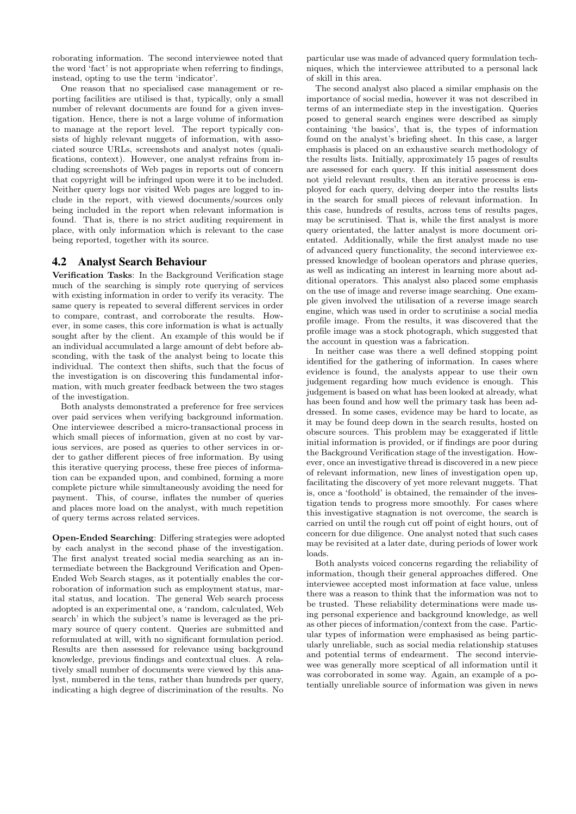roborating information. The second interviewee noted that the word 'fact' is not appropriate when referring to findings, instead, opting to use the term 'indicator'.

One reason that no specialised case management or reporting facilities are utilised is that, typically, only a small number of relevant documents are found for a given investigation. Hence, there is not a large volume of information to manage at the report level. The report typically consists of highly relevant nuggets of information, with associated source URLs, screenshots and analyst notes (qualifications, context). However, one analyst refrains from including screenshots of Web pages in reports out of concern that copyright will be infringed upon were it to be included. Neither query logs nor visited Web pages are logged to include in the report, with viewed documents/sources only being included in the report when relevant information is found. That is, there is no strict auditing requirement in place, with only information which is relevant to the case being reported, together with its source.

### 4.2 Analyst Search Behaviour

Verification Tasks: In the Background Verification stage much of the searching is simply rote querying of services with existing information in order to verify its veracity. The same query is repeated to several different services in order to compare, contrast, and corroborate the results. However, in some cases, this core information is what is actually sought after by the client. An example of this would be if an individual accumulated a large amount of debt before absconding, with the task of the analyst being to locate this individual. The context then shifts, such that the focus of the investigation is on discovering this fundamental information, with much greater feedback between the two stages of the investigation.

Both analysts demonstrated a preference for free services over paid services when verifying background information. One interviewee described a micro-transactional process in which small pieces of information, given at no cost by various services, are posed as queries to other services in order to gather different pieces of free information. By using this iterative querying process, these free pieces of information can be expanded upon, and combined, forming a more complete picture while simultaneously avoiding the need for payment. This, of course, inflates the number of queries and places more load on the analyst, with much repetition of query terms across related services.

Open-Ended Searching: Differing strategies were adopted by each analyst in the second phase of the investigation. The first analyst treated social media searching as an intermediate between the Background Verification and Open-Ended Web Search stages, as it potentially enables the corroboration of information such as employment status, marital status, and location. The general Web search process adopted is an experimental one, a 'random, calculated, Web search' in which the subject's name is leveraged as the primary source of query content. Queries are submitted and reformulated at will, with no significant formulation period. Results are then assessed for relevance using background knowledge, previous findings and contextual clues. A relatively small number of documents were viewed by this analyst, numbered in the tens, rather than hundreds per query, indicating a high degree of discrimination of the results. No

particular use was made of advanced query formulation techniques, which the interviewee attributed to a personal lack of skill in this area.

The second analyst also placed a similar emphasis on the importance of social media, however it was not described in terms of an intermediate step in the investigation. Queries posed to general search engines were described as simply containing 'the basics', that is, the types of information found on the analyst's briefing sheet. In this case, a larger emphasis is placed on an exhaustive search methodology of the results lists. Initially, approximately 15 pages of results are assessed for each query. If this initial assessment does not yield relevant results, then an iterative process is employed for each query, delving deeper into the results lists in the search for small pieces of relevant information. In this case, hundreds of results, across tens of results pages, may be scrutinised. That is, while the first analyst is more query orientated, the latter analyst is more document orientated. Additionally, while the first analyst made no use of advanced query functionality, the second interviewee expressed knowledge of boolean operators and phrase queries, as well as indicating an interest in learning more about additional operators. This analyst also placed some emphasis on the use of image and reverse image searching. One example given involved the utilisation of a reverse image search engine, which was used in order to scrutinise a social media profile image. From the results, it was discovered that the profile image was a stock photograph, which suggested that the account in question was a fabrication.

In neither case was there a well defined stopping point identified for the gathering of information. In cases where evidence is found, the analysts appear to use their own judgement regarding how much evidence is enough. This judgement is based on what has been looked at already, what has been found and how well the primary task has been addressed. In some cases, evidence may be hard to locate, as it may be found deep down in the search results, hosted on obscure sources. This problem may be exaggerated if little initial information is provided, or if findings are poor during the Background Verification stage of the investigation. However, once an investigative thread is discovered in a new piece of relevant information, new lines of investigation open up, facilitating the discovery of yet more relevant nuggets. That is, once a 'foothold' is obtained, the remainder of the investigation tends to progress more smoothly. For cases where this investigative stagnation is not overcome, the search is carried on until the rough cut off point of eight hours, out of concern for due diligence. One analyst noted that such cases may be revisited at a later date, during periods of lower work loads.

Both analysts voiced concerns regarding the reliability of information, though their general approaches differed. One interviewee accepted most information at face value, unless there was a reason to think that the information was not to be trusted. These reliability determinations were made using personal experience and background knowledge, as well as other pieces of information/context from the case. Particular types of information were emphasised as being particularly unreliable, such as social media relationship statuses and potential terms of endearment. The second interviewee was generally more sceptical of all information until it was corroborated in some way. Again, an example of a potentially unreliable source of information was given in news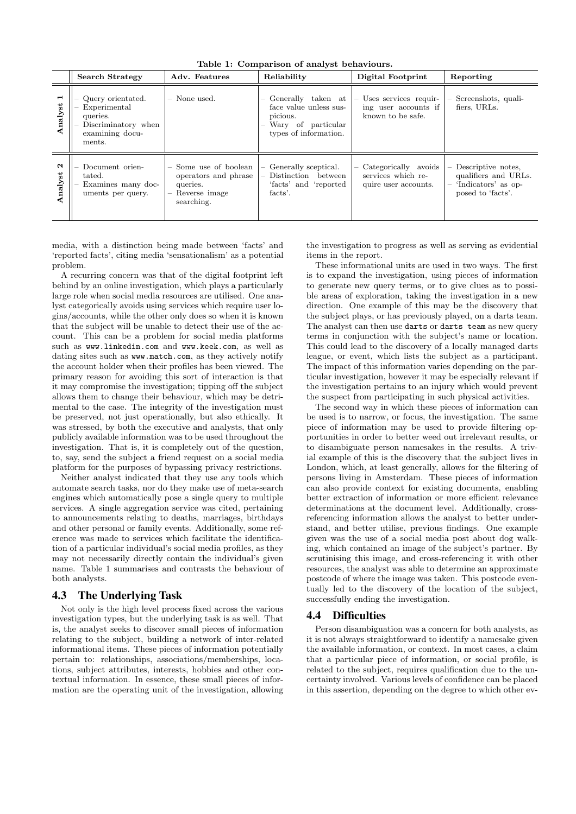|                          | rapic 1. Comparison or anaryse benaviours.                                                        |                                                                                                    |                                                                                                                                     |                                                                    |                                                                                        |  |
|--------------------------|---------------------------------------------------------------------------------------------------|----------------------------------------------------------------------------------------------------|-------------------------------------------------------------------------------------------------------------------------------------|--------------------------------------------------------------------|----------------------------------------------------------------------------------------|--|
|                          | <b>Search Strategy</b>                                                                            | Adv. Features                                                                                      | Reliability                                                                                                                         | Digital Footprint                                                  | Reporting                                                                              |  |
| $\blacksquare$<br>nalyst | Query orientated.<br>Experimental<br>queries.<br>Discriminatory when<br>examining docu-<br>ments. | $-$ None used.                                                                                     | Generally taken at<br>face value unless sus-<br>picious.<br>Wary of particular<br>$\overline{\phantom{0}}$<br>types of information. | Uses services requir-<br>ing user accounts if<br>known to be safe. | Screenshots, quali-<br>fiers, URLs.                                                    |  |
| $\sim$<br>nalyst         | Document orien-<br>tated.<br>Examines many doc-<br>uments per query.                              | Some use of boolean<br>$\equiv$<br>operators and phrase<br>queries.<br>Reverse image<br>searching. | Generally sceptical.<br>-<br>Distinction<br>between<br>$\equiv$<br>'facts' and 'reported<br>facts'.                                 | Categorically avoids<br>services which re-<br>quire user accounts. | Descriptive notes,<br>qualifiers and URLs.<br>'Indicators' as op-<br>posed to 'facts'. |  |

Table 1: Comparison of analyst behaviours.

media, with a distinction being made between 'facts' and 'reported facts', citing media 'sensationalism' as a potential problem.

A recurring concern was that of the digital footprint left behind by an online investigation, which plays a particularly large role when social media resources are utilised. One analyst categorically avoids using services which require user logins/accounts, while the other only does so when it is known that the subject will be unable to detect their use of the account. This can be a problem for social media platforms such as www.linkedin.com and www.keek.com, as well as dating sites such as www.match.com, as they actively notify the account holder when their profiles has been viewed. The primary reason for avoiding this sort of interaction is that it may compromise the investigation; tipping off the subject allows them to change their behaviour, which may be detrimental to the case. The integrity of the investigation must be preserved, not just operationally, but also ethically. It was stressed, by both the executive and analysts, that only publicly available information was to be used throughout the investigation. That is, it is completely out of the question, to, say, send the subject a friend request on a social media platform for the purposes of bypassing privacy restrictions.

Neither analyst indicated that they use any tools which automate search tasks, nor do they make use of meta-search engines which automatically pose a single query to multiple services. A single aggregation service was cited, pertaining to announcements relating to deaths, marriages, birthdays and other personal or family events. Additionally, some reference was made to services which facilitate the identification of a particular individual's social media profiles, as they may not necessarily directly contain the individual's given name. Table 1 summarises and contrasts the behaviour of both analysts.

## 4.3 The Underlying Task

Not only is the high level process fixed across the various investigation types, but the underlying task is as well. That is, the analyst seeks to discover small pieces of information relating to the subject, building a network of inter-related informational items. These pieces of information potentially pertain to: relationships, associations/memberships, locations, subject attributes, interests, hobbies and other contextual information. In essence, these small pieces of information are the operating unit of the investigation, allowing

the investigation to progress as well as serving as evidential items in the report.

These informational units are used in two ways. The first is to expand the investigation, using pieces of information to generate new query terms, or to give clues as to possible areas of exploration, taking the investigation in a new direction. One example of this may be the discovery that the subject plays, or has previously played, on a darts team. The analyst can then use darts or darts team as new query terms in conjunction with the subject's name or location. This could lead to the discovery of a locally managed darts league, or event, which lists the subject as a participant. The impact of this information varies depending on the particular investigation, however it may be especially relevant if the investigation pertains to an injury which would prevent the suspect from participating in such physical activities.

The second way in which these pieces of information can be used is to narrow, or focus, the investigation. The same piece of information may be used to provide filtering opportunities in order to better weed out irrelevant results, or to disambiguate person namesakes in the results. A trivial example of this is the discovery that the subject lives in London, which, at least generally, allows for the filtering of persons living in Amsterdam. These pieces of information can also provide context for existing documents, enabling better extraction of information or more efficient relevance determinations at the document level. Additionally, crossreferencing information allows the analyst to better understand, and better utilise, previous findings. One example given was the use of a social media post about dog walking, which contained an image of the subject's partner. By scrutinising this image, and cross-referencing it with other resources, the analyst was able to determine an approximate postcode of where the image was taken. This postcode eventually led to the discovery of the location of the subject, successfully ending the investigation.

### 4.4 Difficulties

Person disambiguation was a concern for both analysts, as it is not always straightforward to identify a namesake given the available information, or context. In most cases, a claim that a particular piece of information, or social profile, is related to the subject, requires qualification due to the uncertainty involved. Various levels of confidence can be placed in this assertion, depending on the degree to which other ev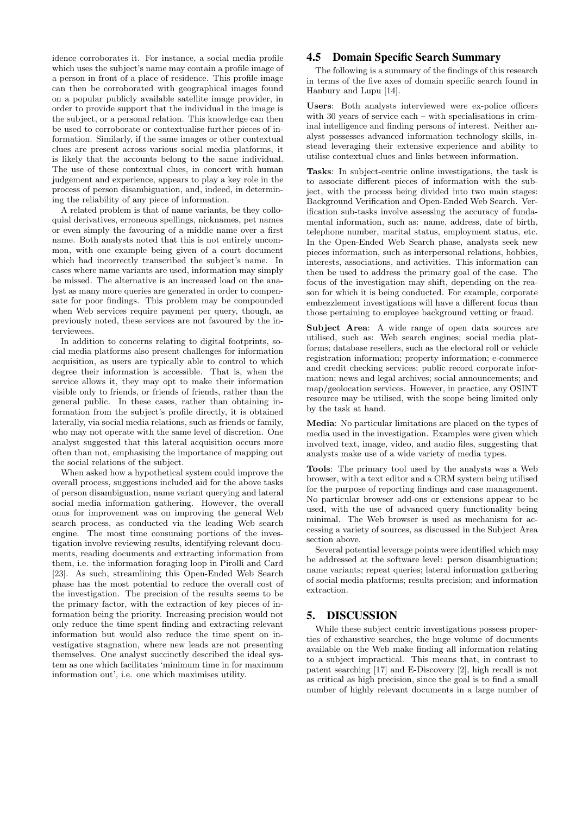idence corroborates it. For instance, a social media profile which uses the subject's name may contain a profile image of a person in front of a place of residence. This profile image can then be corroborated with geographical images found on a popular publicly available satellite image provider, in order to provide support that the individual in the image is the subject, or a personal relation. This knowledge can then be used to corroborate or contextualise further pieces of information. Similarly, if the same images or other contextual clues are present across various social media platforms, it is likely that the accounts belong to the same individual. The use of these contextual clues, in concert with human judgement and experience, appears to play a key role in the process of person disambiguation, and, indeed, in determining the reliability of any piece of information.

A related problem is that of name variants, be they colloquial derivatives, erroneous spellings, nicknames, pet names or even simply the favouring of a middle name over a first name. Both analysts noted that this is not entirely uncommon, with one example being given of a court document which had incorrectly transcribed the subject's name. In cases where name variants are used, information may simply be missed. The alternative is an increased load on the analyst as many more queries are generated in order to compensate for poor findings. This problem may be compounded when Web services require payment per query, though, as previously noted, these services are not favoured by the interviewees.

In addition to concerns relating to digital footprints, social media platforms also present challenges for information acquisition, as users are typically able to control to which degree their information is accessible. That is, when the service allows it, they may opt to make their information visible only to friends, or friends of friends, rather than the general public. In these cases, rather than obtaining information from the subject's profile directly, it is obtained laterally, via social media relations, such as friends or family, who may not operate with the same level of discretion. One analyst suggested that this lateral acquisition occurs more often than not, emphasising the importance of mapping out the social relations of the subject.

When asked how a hypothetical system could improve the overall process, suggestions included aid for the above tasks of person disambiguation, name variant querying and lateral social media information gathering. However, the overall onus for improvement was on improving the general Web search process, as conducted via the leading Web search engine. The most time consuming portions of the investigation involve reviewing results, identifying relevant documents, reading documents and extracting information from them, i.e. the information foraging loop in Pirolli and Card [23]. As such, streamlining this Open-Ended Web Search phase has the most potential to reduce the overall cost of the investigation. The precision of the results seems to be the primary factor, with the extraction of key pieces of information being the priority. Increasing precision would not only reduce the time spent finding and extracting relevant information but would also reduce the time spent on investigative stagnation, where new leads are not presenting themselves. One analyst succinctly described the ideal system as one which facilitates 'minimum time in for maximum information out', i.e. one which maximises utility.

## 4.5 Domain Specific Search Summary

The following is a summary of the findings of this research in terms of the five axes of domain specific search found in Hanbury and Lupu [14].

Users: Both analysts interviewed were ex-police officers with 30 years of service each – with specialisations in criminal intelligence and finding persons of interest. Neither analyst possesses advanced information technology skills, instead leveraging their extensive experience and ability to utilise contextual clues and links between information.

Tasks: In subject-centric online investigations, the task is to associate different pieces of information with the subject, with the process being divided into two main stages: Background Verification and Open-Ended Web Search. Verification sub-tasks involve assessing the accuracy of fundamental information, such as: name, address, date of birth, telephone number, marital status, employment status, etc. In the Open-Ended Web Search phase, analysts seek new pieces information, such as interpersonal relations, hobbies, interests, associations, and activities. This information can then be used to address the primary goal of the case. The focus of the investigation may shift, depending on the reason for which it is being conducted. For example, corporate embezzlement investigations will have a different focus than those pertaining to employee background vetting or fraud.

Subject Area: A wide range of open data sources are utilised, such as: Web search engines; social media platforms; database resellers, such as the electoral roll or vehicle registration information; property information; e-commerce and credit checking services; public record corporate information; news and legal archives; social announcements; and map/geolocation services. However, in practice, any OSINT resource may be utilised, with the scope being limited only by the task at hand.

Media: No particular limitations are placed on the types of media used in the investigation. Examples were given which involved text, image, video, and audio files, suggesting that analysts make use of a wide variety of media types.

Tools: The primary tool used by the analysts was a Web browser, with a text editor and a CRM system being utilised for the purpose of reporting findings and case management. No particular browser add-ons or extensions appear to be used, with the use of advanced query functionality being minimal. The Web browser is used as mechanism for accessing a variety of sources, as discussed in the Subject Area section above.

Several potential leverage points were identified which may be addressed at the software level: person disambiguation; name variants; repeat queries; lateral information gathering of social media platforms; results precision; and information extraction.

### 5. DISCUSSION

While these subject centric investigations possess properties of exhaustive searches, the huge volume of documents available on the Web make finding all information relating to a subject impractical. This means that, in contrast to patent searching [17] and E-Discovery [2], high recall is not as critical as high precision, since the goal is to find a small number of highly relevant documents in a large number of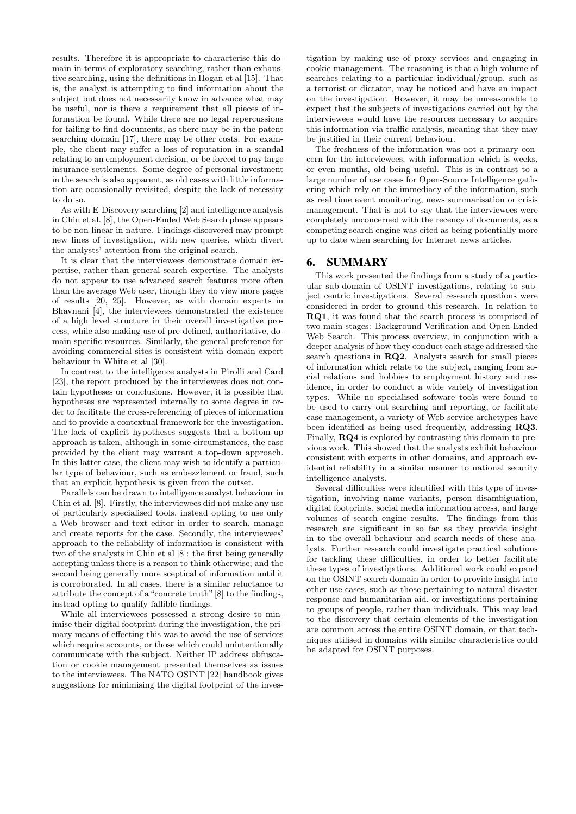results. Therefore it is appropriate to characterise this domain in terms of exploratory searching, rather than exhaustive searching, using the definitions in Hogan et al [15]. That is, the analyst is attempting to find information about the subject but does not necessarily know in advance what may be useful, nor is there a requirement that all pieces of information be found. While there are no legal repercussions for failing to find documents, as there may be in the patent searching domain [17], there may be other costs. For example, the client may suffer a loss of reputation in a scandal relating to an employment decision, or be forced to pay large insurance settlements. Some degree of personal investment in the search is also apparent, as old cases with little information are occasionally revisited, despite the lack of necessity to do so.

As with E-Discovery searching [2] and intelligence analysis in Chin et al. [8], the Open-Ended Web Search phase appears to be non-linear in nature. Findings discovered may prompt new lines of investigation, with new queries, which divert the analysts' attention from the original search.

It is clear that the interviewees demonstrate domain expertise, rather than general search expertise. The analysts do not appear to use advanced search features more often than the average Web user, though they do view more pages of results [20, 25]. However, as with domain experts in Bhavnani [4], the interviewees demonstrated the existence of a high level structure in their overall investigative process, while also making use of pre-defined, authoritative, domain specific resources. Similarly, the general preference for avoiding commercial sites is consistent with domain expert behaviour in White et al [30].

In contrast to the intelligence analysts in Pirolli and Card [23], the report produced by the interviewees does not contain hypotheses or conclusions. However, it is possible that hypotheses are represented internally to some degree in order to facilitate the cross-referencing of pieces of information and to provide a contextual framework for the investigation. The lack of explicit hypotheses suggests that a bottom-up approach is taken, although in some circumstances, the case provided by the client may warrant a top-down approach. In this latter case, the client may wish to identify a particular type of behaviour, such as embezzlement or fraud, such that an explicit hypothesis is given from the outset.

Parallels can be drawn to intelligence analyst behaviour in Chin et al. [8]. Firstly, the interviewees did not make any use of particularly specialised tools, instead opting to use only a Web browser and text editor in order to search, manage and create reports for the case. Secondly, the interviewees' approach to the reliability of information is consistent with two of the analysts in Chin et al [8]: the first being generally accepting unless there is a reason to think otherwise; and the second being generally more sceptical of information until it is corroborated. In all cases, there is a similar reluctance to attribute the concept of a "concrete truth"[8] to the findings, instead opting to qualify fallible findings.

While all interviewees possessed a strong desire to minimise their digital footprint during the investigation, the primary means of effecting this was to avoid the use of services which require accounts, or those which could unintentionally communicate with the subject. Neither IP address obfuscation or cookie management presented themselves as issues to the interviewees. The NATO OSINT [22] handbook gives suggestions for minimising the digital footprint of the inves-

tigation by making use of proxy services and engaging in cookie management. The reasoning is that a high volume of searches relating to a particular individual/group, such as a terrorist or dictator, may be noticed and have an impact on the investigation. However, it may be unreasonable to expect that the subjects of investigations carried out by the interviewees would have the resources necessary to acquire this information via traffic analysis, meaning that they may be justified in their current behaviour.

The freshness of the information was not a primary concern for the interviewees, with information which is weeks, or even months, old being useful. This is in contrast to a large number of use cases for Open-Source Intelligence gathering which rely on the immediacy of the information, such as real time event monitoring, news summarisation or crisis management. That is not to say that the interviewees were completely unconcerned with the recency of documents, as a competing search engine was cited as being potentially more up to date when searching for Internet news articles.

#### 6. SUMMARY

This work presented the findings from a study of a particular sub-domain of OSINT investigations, relating to subject centric investigations. Several research questions were considered in order to ground this research. In relation to RQ1, it was found that the search process is comprised of two main stages: Background Verification and Open-Ended Web Search. This process overview, in conjunction with a deeper analysis of how they conduct each stage addressed the search questions in RQ2. Analysts search for small pieces of information which relate to the subject, ranging from social relations and hobbies to employment history and residence, in order to conduct a wide variety of investigation types. While no specialised software tools were found to be used to carry out searching and reporting, or facilitate case management, a variety of Web service archetypes have been identified as being used frequently, addressing RQ3. Finally, RQ4 is explored by contrasting this domain to previous work. This showed that the analysts exhibit behaviour consistent with experts in other domains, and approach evidential reliability in a similar manner to national security intelligence analysts.

Several difficulties were identified with this type of investigation, involving name variants, person disambiguation, digital footprints, social media information access, and large volumes of search engine results. The findings from this research are significant in so far as they provide insight in to the overall behaviour and search needs of these analysts. Further research could investigate practical solutions for tackling these difficulties, in order to better facilitate these types of investigations. Additional work could expand on the OSINT search domain in order to provide insight into other use cases, such as those pertaining to natural disaster response and humanitarian aid, or investigations pertaining to groups of people, rather than individuals. This may lead to the discovery that certain elements of the investigation are common across the entire OSINT domain, or that techniques utilised in domains with similar characteristics could be adapted for OSINT purposes.